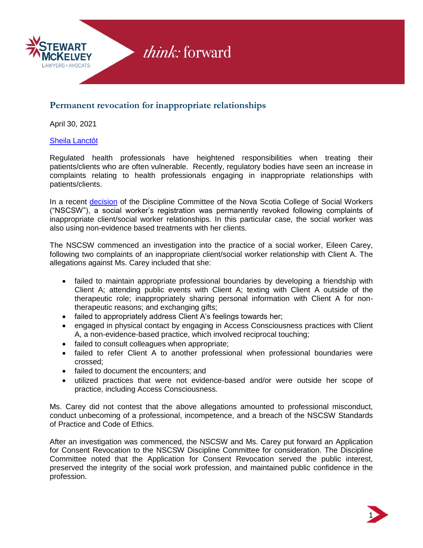

## $\rightarrow$  think: forward

### **Permanent revocation for inappropriate relationships**

April 30, 2021

#### [Sheila Lanctôt](https://stewartmckelvey.com/people/lanctot-sheila/)

Regulated health professionals have heightened responsibilities when treating their patients/clients who are often vulnerable. Recently, regulatory bodies have seen an increase in complaints relating to health professionals engaging in inappropriate relationships with patients/clients.

In a recent [decision](https://nscsw.org/wp-content/uploads/2020/12/Decision-summary-Eileen-Carey-Dec2020.pdf) of the Discipline Committee of the Nova Scotia College of Social Workers ("NSCSW"), a social worker's registration was permanently revoked following complaints of inappropriate client/social worker relationships. In this particular case, the social worker was also using non-evidence based treatments with her clients.

The NSCSW commenced an investigation into the practice of a social worker, Eileen Carey, following two complaints of an inappropriate client/social worker relationship with Client A. The allegations against Ms. Carey included that she:

- failed to maintain appropriate professional boundaries by developing a friendship with Client A; attending public events with Client A; texting with Client A outside of the therapeutic role; inappropriately sharing personal information with Client A for nontherapeutic reasons; and exchanging gifts;
- failed to appropriately address Client A's feelings towards her;
- engaged in physical contact by engaging in Access Consciousness practices with Client A, a non-evidence-based practice, which involved reciprocal touching;
- failed to consult colleagues when appropriate;
- failed to refer Client A to another professional when professional boundaries were crossed;
- failed to document the encounters; and
- utilized practices that were not evidence-based and/or were outside her scope of practice, including Access Consciousness.

Ms. Carey did not contest that the above allegations amounted to professional misconduct, conduct unbecoming of a professional, incompetence, and a breach of the NSCSW Standards of Practice and Code of Ethics.

After an investigation was commenced, the NSCSW and Ms. Carey put forward an Application for Consent Revocation to the NSCSW Discipline Committee for consideration. The Discipline Committee noted that the Application for Consent Revocation served the public interest, preserved the integrity of the social work profession, and maintained public confidence in the profession.

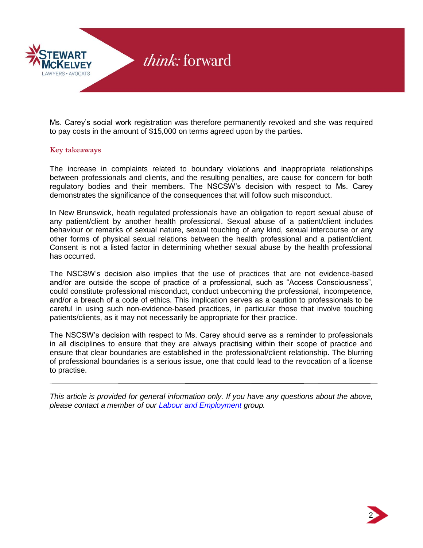

Ms. Carey's social work registration was therefore permanently revoked and she was required to pay costs in the amount of \$15,000 on terms agreed upon by the parties.

#### **Key takeaways**

The increase in complaints related to boundary violations and inappropriate relationships between professionals and clients, and the resulting penalties, are cause for concern for both regulatory bodies and their members. The NSCSW's decision with respect to Ms. Carey demonstrates the significance of the consequences that will follow such misconduct.

In New Brunswick, heath regulated professionals have an obligation to report sexual abuse of any patient/client by another health professional. Sexual abuse of a patient/client includes behaviour or remarks of sexual nature, sexual touching of any kind, sexual intercourse or any other forms of physical sexual relations between the health professional and a patient/client. Consent is not a listed factor in determining whether sexual abuse by the health professional has occurred.

The NSCSW's decision also implies that the use of practices that are not evidence-based and/or are outside the scope of practice of a professional, such as "Access Consciousness", could constitute professional misconduct, conduct unbecoming the professional, incompetence, and/or a breach of a code of ethics. This implication serves as a caution to professionals to be careful in using such non-evidence-based practices, in particular those that involve touching patients/clients, as it may not necessarily be appropriate for their practice.

The NSCSW's decision with respect to Ms. Carey should serve as a reminder to professionals in all disciplines to ensure that they are always practising within their scope of practice and ensure that clear boundaries are established in the professional/client relationship. The blurring of professional boundaries is a serious issue, one that could lead to the revocation of a license to practise.

*This article is provided for general information only. If you have any questions about the above, please contact a member of our [Labour and Employment](https://stewartmckelvey.com/areas_of_law/labour-employment/) group.*